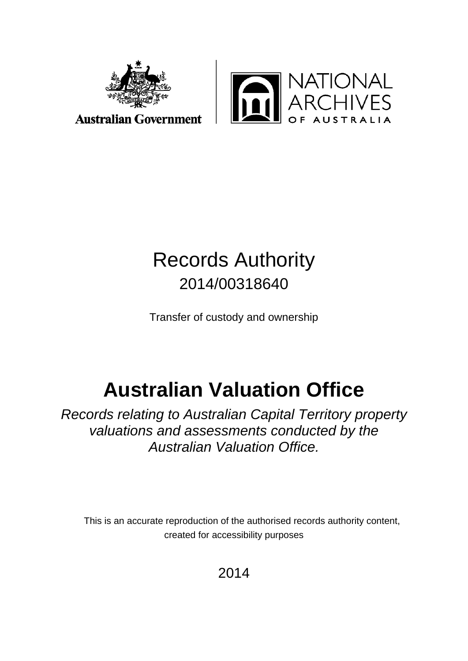



#### **Australian Government**

## Records Authority 2014/00318640

Transfer of custody and ownership

# **Australian Valuation Office**

*Records relating to Australian Capital Territory property valuations and assessments conducted by the Australian Valuation Office.* 

This is an accurate reproduction of the authorised records authority content, created for accessibility purposes

2014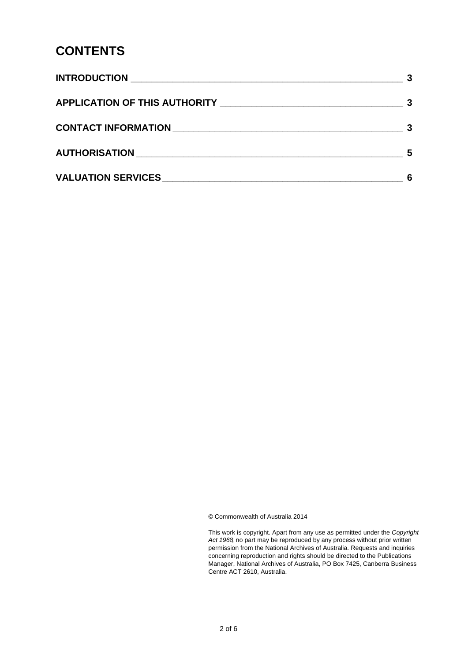#### **CONTENTS**

| -5 |
|----|
|    |

© Commonwealth of Australia 2014

This work is copyright. Apart from any use as permitted under the *Copyright Act 1968,* no part may be reproduced by any process without prior written permission from the National Archives of Australia. Requests and inquiries concerning reproduction and rights should be directed to the Publications Manager, National Archives of Australia, PO Box 7425, Canberra Business Centre ACT 2610, Australia.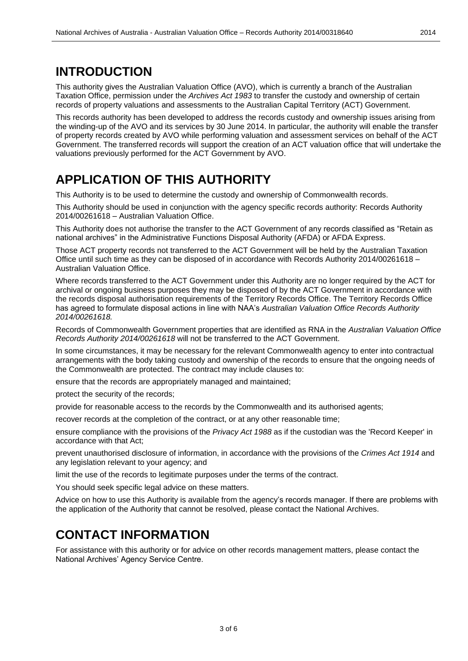#### <span id="page-2-0"></span>**INTRODUCTION**

This authority gives the Australian Valuation Office (AVO), which is currently a branch of the Australian Taxation Office, permission under the *Archives Act 1983* to transfer the custody and ownership of certain records of property valuations and assessments to the Australian Capital Territory (ACT) Government.

This records authority has been developed to address the records custody and ownership issues arising from the winding-up of the AVO and its services by 30 June 2014. In particular, the authority will enable the transfer of property records created by AVO while performing valuation and assessment services on behalf of the ACT Government. The transferred records will support the creation of an ACT valuation office that will undertake the valuations previously performed for the ACT Government by AVO.

#### <span id="page-2-1"></span>**APPLICATION OF THIS AUTHORITY**

This Authority is to be used to determine the custody and ownership of Commonwealth records.

This Authority should be used in conjunction with the agency specific records authority: Records Authority 2014/00261618 – Australian Valuation Office.

This Authority does not authorise the transfer to the ACT Government of any records classified as "Retain as national archives" in the Administrative Functions Disposal Authority (AFDA) or AFDA Express.

Those ACT property records not transferred to the ACT Government will be held by the Australian Taxation Office until such time as they can be disposed of in accordance with Records Authority 2014/00261618 – Australian Valuation Office.

Where records transferred to the ACT Government under this Authority are no longer required by the ACT for archival or ongoing business purposes they may be disposed of by the ACT Government in accordance with the records disposal authorisation requirements of the Territory Records Office. The Territory Records Office has agreed to formulate disposal actions in line with NAA's *Australian Valuation Office Records Authority 2014/00261618.*

Records of Commonwealth Government properties that are identified as RNA in the *Australian Valuation Office Records Authority 2014/00261618* will not be transferred to the ACT Government.

In some circumstances, it may be necessary for the relevant Commonwealth agency to enter into contractual arrangements with the body taking custody and ownership of the records to ensure that the ongoing needs of the Commonwealth are protected. The contract may include clauses to:

ensure that the records are appropriately managed and maintained;

protect the security of the records;

provide for reasonable access to the records by the Commonwealth and its authorised agents;

recover records at the completion of the contract, or at any other reasonable time;

ensure compliance with the provisions of the *Privacy Act 1988* as if the custodian was the 'Record Keeper' in accordance with that Act;

prevent unauthorised disclosure of information, in accordance with the provisions of the *Crimes Act 1914* and any legislation relevant to your agency; and

limit the use of the records to legitimate purposes under the terms of the contract.

You should seek specific legal advice on these matters.

Advice on how to use this Authority is available from the agency's records manager. If there are problems with the application of the Authority that cannot be resolved, please contact the National Archives.

#### <span id="page-2-2"></span>**CONTACT INFORMATION**

For assistance with this authority or for advice on other records management matters, please contact the National Archives' Agency Service Centre.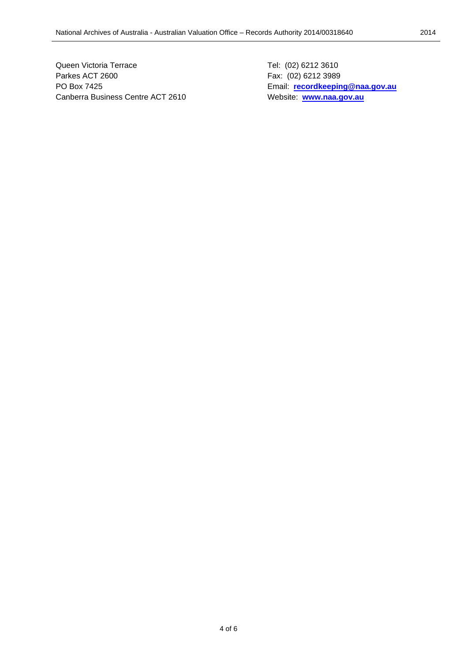Queen Victoria Terrace Tel: (02) 6212 3610 Parkes ACT 2600 Fax: (02) 6212 3989 PO Box 7425 Email: **[recordkeeping@naa.gov.au](mailto:recordkeeping@naa.gov.au)** Canberra Business Centre ACT 2610 Website: [www.naa.gov.au](http://www.naa.gov.au/)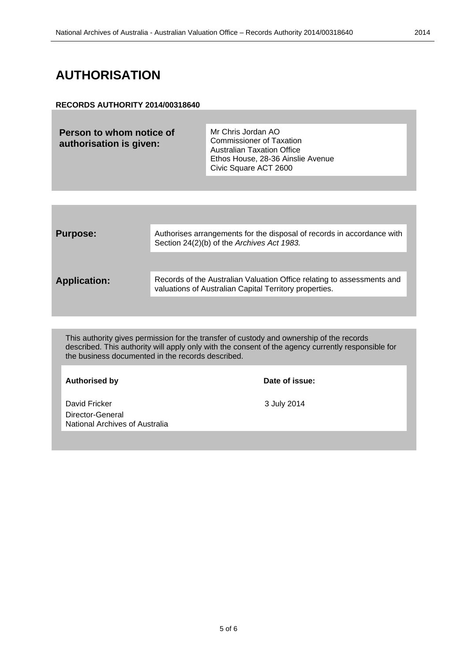#### <span id="page-4-0"></span>**AUTHORISATION**

#### **RECORDS AUTHORITY 2014/00318640**

**Person to whom notice of authorisation is given:** Mr Chris Jordan AO Commissioner of Taxation Australian Taxation Office Ethos House, 28-36 Ainslie Avenue Civic Square ACT 2600

| <b>Purpose:</b>     | Authorises arrangements for the disposal of records in accordance with<br>Section 24(2)(b) of the Archives Act 1983.             |
|---------------------|----------------------------------------------------------------------------------------------------------------------------------|
| <b>Application:</b> | Records of the Australian Valuation Office relating to assessments and<br>valuations of Australian Capital Territory properties. |

This authority gives permission for the transfer of custody and ownership of the records described. This authority will apply only with the consent of the agency currently responsible for the business documented in the records described.

**Authorised by Date of issue:**

David Fricker 3 July 2014 Director-General National Archives of Australia